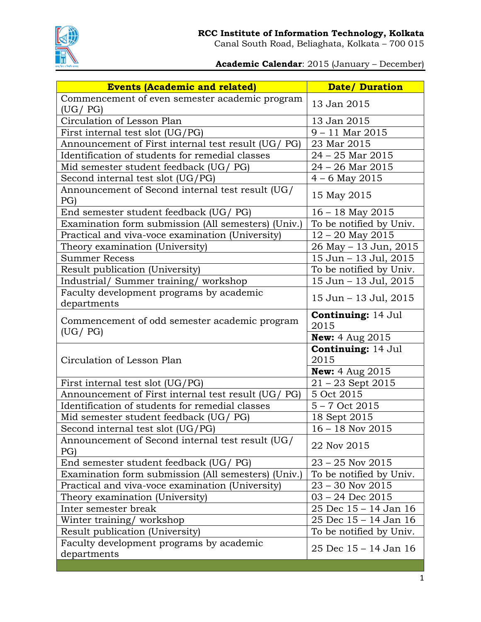

Canal South Road, Beliaghata, Kolkata – 700 015

**Academic Calendar**: 2015 (January – December)

| <b>Events (Academic and related)</b>                       | <b>Date/ Duration</b>             |
|------------------------------------------------------------|-----------------------------------|
| Commencement of even semester academic program             | 13 Jan 2015                       |
| (UG / PG)                                                  |                                   |
| Circulation of Lesson Plan                                 | 13 Jan 2015                       |
| First internal test slot (UG/PG)                           | $9 - 11$ Mar 2015                 |
| Announcement of First internal test result (UG/ PG)        | 23 Mar 2015                       |
| Identification of students for remedial classes            | $24 - 25$ Mar $2015$              |
| Mid semester student feedback (UG/ PG)                     | $24 - 26$ Mar $2015$              |
| Second internal test slot (UG/PG)                          | $4 - 6$ May 2015                  |
| Announcement of Second internal test result (UG/<br>PG)    | 15 May 2015                       |
| End semester student feedback (UG/ PG)                     | $16 - 18$ May 2015                |
| Examination form submission (All semesters) (Univ.)        | To be notified by Univ.           |
| Practical and viva-voce examination (University)           | $12 - 20$ May 2015                |
| Theory examination (University)                            | 26 May - 13 Jun, 2015             |
| <b>Summer Recess</b>                                       | 15 Jun - 13 Jul, 2015             |
| Result publication (University)                            | To be notified by Univ.           |
| Industrial/ Summer training/ workshop                      | 15 Jun - 13 Jul, 2015             |
| Faculty development programs by academic<br>departments    | 15 Jun - 13 Jul, 2015             |
| Commencement of odd semester academic program<br>(UG / PG) | <b>Continuing: 14 Jul</b><br>2015 |
|                                                            | <b>New:</b> $4 \text{ Aug } 2015$ |
| Circulation of Lesson Plan                                 | <b>Continuing: 14 Jul</b><br>2015 |
|                                                            | <b>New:</b> $4 \text{ Aug } 2015$ |
| First internal test slot (UG/PG)                           | $21 - 23$ Sept 2015               |
| Announcement of First internal test result (UG/ PG)        | 5 Oct 2015                        |
| Identification of students for remedial classes            | $5 - 7$ Oct 2015                  |
| Mid semester student feedback (UG/ PG)                     | 18 Sept 2015                      |
| Second internal test slot (UG/PG)                          | $16 - 18$ Nov 2015                |
| Announcement of Second internal test result (UG/<br>PG)    | 22 Nov 2015                       |
| End semester student feedback (UG/ PG)                     | $23 - 25$ Nov $2015$              |
| Examination form submission (All semesters) (Univ.)        | To be notified by Univ.           |
| Practical and viva-voce examination (University)           | $23 - 30$ Nov $2015$              |
| Theory examination (University)                            | $03 - 24$ Dec $2015$              |
| Inter semester break                                       | 25 Dec 15 - 14 Jan 16             |
| Winter training/workshop                                   | 25 Dec 15 - 14 Jan 16             |
| Result publication (University)                            | To be notified by Univ.           |
| Faculty development programs by academic<br>departments    | 25 Dec 15 - 14 Jan 16             |
|                                                            |                                   |